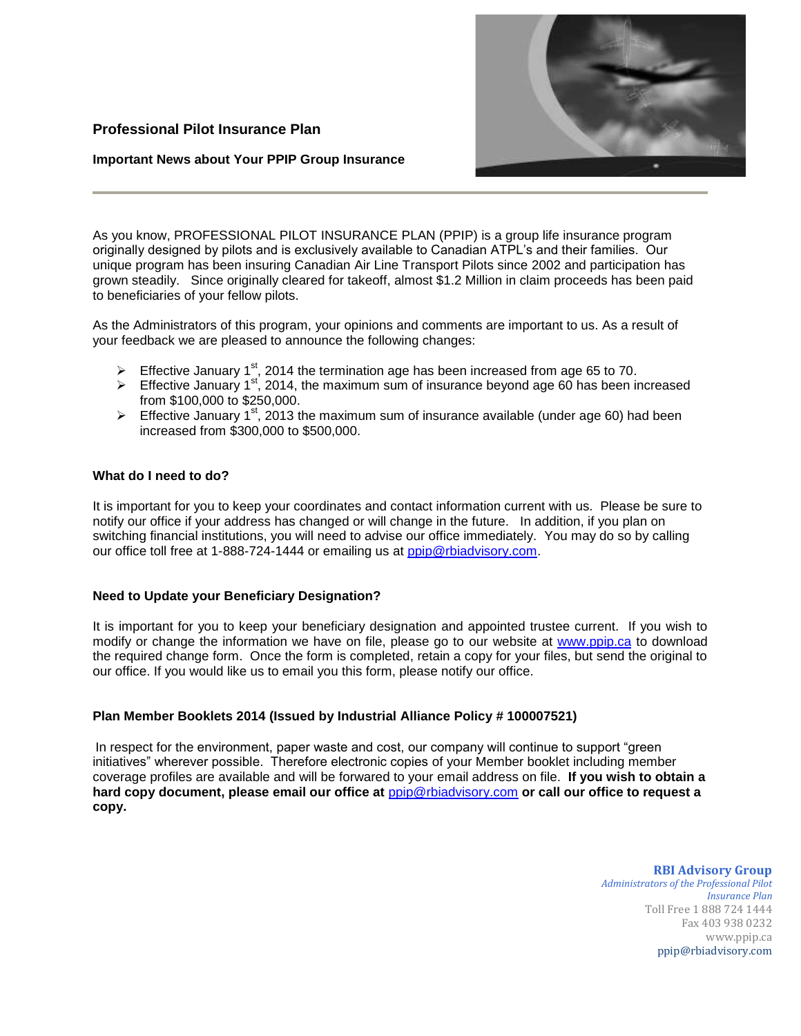# **Professional Pilot Insurance Plan**

## **Important News about Your PPIP Group Insurance**



As you know, PROFESSIONAL PILOT INSURANCE PLAN (PPIP) is a group life insurance program originally designed by pilots and is exclusively available to Canadian ATPL's and their families. Our unique program has been insuring Canadian Air Line Transport Pilots since 2002 and participation has grown steadily. Since originally cleared for takeoff, almost \$1.2 Million in claim proceeds has been paid to beneficiaries of your fellow pilots.

As the Administrators of this program, your opinions and comments are important to us. As a result of your feedback we are pleased to announce the following changes:

- $\triangleright$  Effective January 1<sup>st</sup>, 2014 the termination age has been increased from age 65 to 70.
- Effective January 1st, 2014, the maximum sum of insurance beyond age 60 has been increased from \$100,000 to \$250,000.
- Effective January 1<sup>st</sup>, 2013 the maximum sum of insurance available (under age 60) had been increased from \$300,000 to \$500,000.

## **What do I need to do?**

It is important for you to keep your coordinates and contact information current with us. Please be sure to notify our office if your address has changed or will change in the future. In addition, if you plan on switching financial institutions, you will need to advise our office immediately. You may do so by calling our office toll free at 1-888-724-1444 or emailing us at [ppip@rbiadvisory.com.](mailto:ppip@rbiadvisory.com)

## **Need to Update your Beneficiary Designation?**

It is important for you to keep your beneficiary designation and appointed trustee current. If you wish to modify or change the information we have on file, please go to our website at [www.ppip.ca](http://www.ppip.ca/) to download the required change form. Once the form is completed, retain a copy for your files, but send the original to our office. If you would like us to email you this form, please notify our office.

## **Plan Member Booklets 2014 (Issued by Industrial Alliance Policy # 100007521)**

In respect for the environment, paper waste and cost, our company will continue to support "green initiatives" wherever possible. Therefore electronic copies of your Member booklet including member coverage profiles are available and will be forwared to your email address on file. **If you wish to obtain a**  hard copy document, please email our office at  $p$ pip@rbiadvisory.com or call our office to request a **copy.**

### **RBI Advisory Group**

*Administrators of the Professional Pilot Insurance Plan*  Toll Free 1 888 724 1444 Fax 403 938 0232 www.ppip.ca ppip@rbiadvisory.com